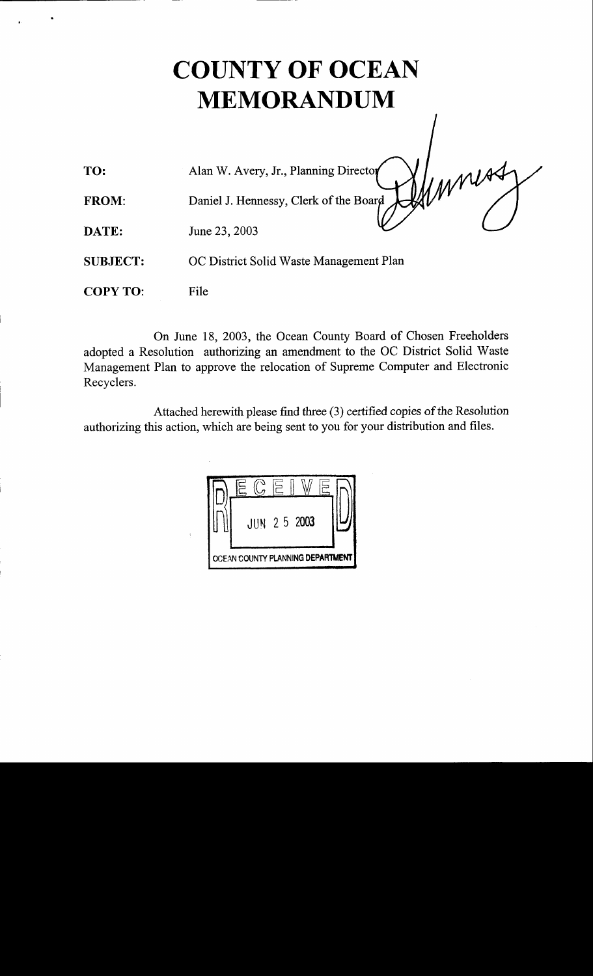## COUNTY OF OCEAN MEMORANDUM

Ummorry

Alan W. Avery, Jr., Planning Di TO:

Daniel J. Hennessy, Clerk of the FROM:

June 23, 2003 DATE:

SUBJECT: OC District Solid Waste Management Plan

COPY TO: File

On June 18, 2003, the Ocean County Board of Chosen Freeholders adopted a Resolution authorizing an amendment to the OC District Solid Waste Management Plan to approve the relocation of Supreme Computer and Electronic Recyclers.

Attached herewith please find three (3) certified copies of the Resolution authorizing this action, which are being sent to you for your distribution and files.

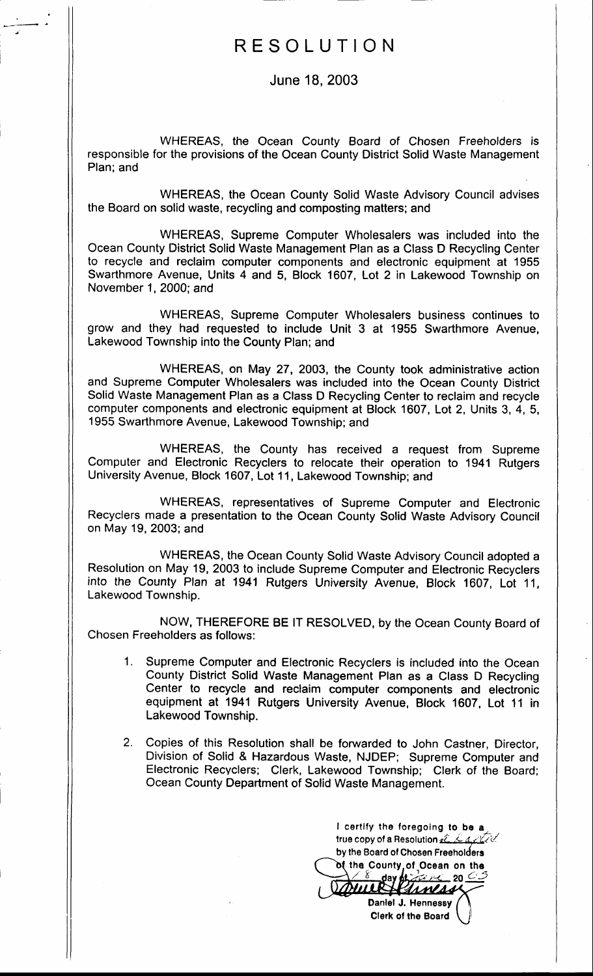## RESOLUTION

June 18,2003

WHEREAS, the Ocean County Board of Chosen Freeholders is responsible for the provisions of the Ocean County District Solid Waste Management Plan; and

WHEREAS, the Ocean County Solid Waste Advisory Council advises the Board on solid waste, recycling and composting matters; and

WHEREAS, Supreme Computer Wholesalers was included into the Ocean County District Solid Waste Management Plan as a Class D Recycling Center to recycle and reclaim computer components and electronic equipment at <sup>1955</sup> Swarthmore Avenue, Units 4 and 5, Block 1607, Lot 2 in Lakewood Township on November 1, 2000; and

WHEREAS, Supreme Computer Wholesalers business continues to grow and they had requested to include Unit 3 at 1955 Swarthmore Avenue, Lakewood Township into the County Plan; and

WHEREAS, on May 27, 2003, the County took administrative action and Supreme Computer Wholesalers was included into the Ocean County District Solid Waste Management Plan as a Class D Recycling Center to reclaim and recycle computer components and electronic equipment at Block 1607, Lot 2, Units 3,4,5, 1955 Swarthmore Avenue, Lakewood Township; and

WHEREAS, the County has received a request from Supreme Computer and Electronic Recyclers to relocate their operation to 1941 Rutgers University Avenue, Block 1607, Lot <sup>1</sup>1 , Lakewood Township; and

WHEREAS, representatives of Supreme Computer and Electronic Recyclers made a presentation to the Ocean County Solid Waste Advisory Council on May 19, 2003; and

WHEREAS, the Ocean County Solid Waste Advisory Council adopted a Resolution on May 19, 2003 to include Supreme Computer and Electronic Recyclers into the County Plan at 1941 Rutgers University Avenue, Block 1607, Lot 11, Lakewood Township.

NOW, THEREFORE BE lT RESOLVED, by the Ocean County Board of Chosen Freeholders as follows:

- 1. Supreme Computer and Electronic Recyclers is included into the Ocean County District Solid Waste Management Plan as a Class D Recycling Center to recycle and reclaim computer components and electronic equipment at 1941 Rutgers University Avenue, Block 1607, Lot 11 in Lakewood Township.
- 2. Copies of this Resolution shall be forwarded to John Castner, Director, Division of Solid & Hazardous Waste, NJDEP; Supreme Computer and Electronic Recyclers; Clerk, Lakewood Township; Clerk of the Board; Ocean County Department of Solid Waste Management.

I certify the foregoing to be a true copy of a Resolution  $\hat{u}$  . Largel by the Board of Chosen Freeholders of the County of Ocean on the<br>
8 day of the 2000 Daniel J. Hennessy

Clerk of the Board